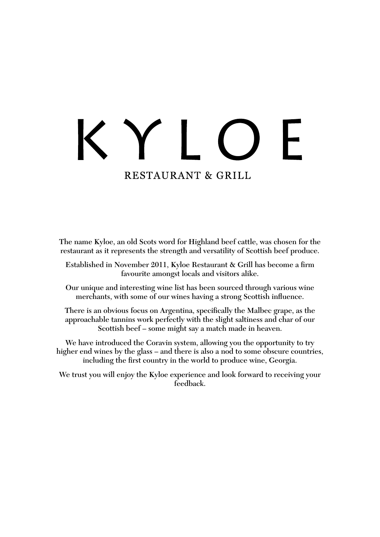# ┝ **RESTAURANT & GRILL**

The name Kyloe, an old Scots word for Highland beef cattle, was chosen for the restaurant as it represents the strength and versatility of Scottish beef produce.

Established in November 2011, Kyloe Restaurant & Grill has become a firm favourite amongst locals and visitors alike.

Our unique and interesting wine list has been sourced through various wine merchants, with some of our wines having a strong Scottish influence.

There is an obvious focus on Argentina, specifically the Malbec grape, as the approachable tannins work perfectly with the slight saltiness and char of our Scottish beef – some might say a match made in heaven.

We have introduced the Coravin system, allowing you the opportunity to try higher end wines by the glass – and there is also a nod to some obscure countries, including the first country in the world to produce wine, Georgia.

We trust you will enjoy the Kyloe experience and look forward to receiving your feedback.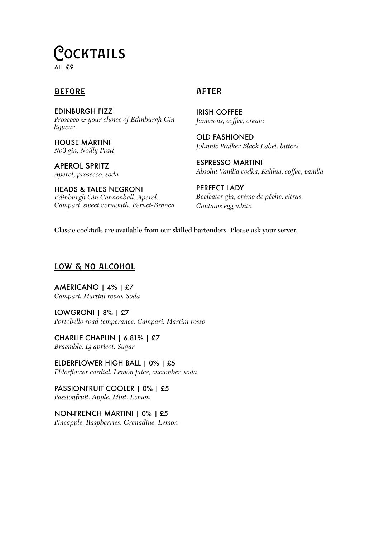# Cocktails

ALL £9

# **BEFORE**

EDINBURGH FIZZ *Prosecco & your choice of Edinburgh Gin liqueur*

HOUSE MARTINI *No3 gin, Noilly Pratt*

APEROL SPRITZ *Aperol, prosecco, soda*

HEADS & TALES NEGRONI *Edinburgh Gin Cannonball, Aperol, Campari, sweet vermouth, Fernet-Branca*

# **AFTER**

IRISH COFFEE *Jamesons, coffee, cream*

OLD FASHIONED *Johnnie Walker Black Label, bitters*

ESPRESSO MARTINI *Absolut Vanilia vodka, Kahlua, coffee, vanilla*

PERFECT LADY *Beefeater gin, crème de pêche, citrus. Contains egg white.*

Classic cocktails are available from our skilled bartenders. Please ask your server.

# low & no alcohol

AMERICANO | 4% | £7 *Campari. Martini rosso. Soda*

LOWGRONI | 8% | £7 *Portobello road temperance. Campari. Martini rosso*

CHARLIE CHAPLIN | 6.81% | £7 *Braemble. Lj apricot. Sugar*

ELDERFLOWER HIGH BALL | 0% | £5 *Elderflower cordial. Lemon juice, cucumber, soda*

PASSIONFRUIT COOLER | 0% | £5 *Passionfruit. Apple. Mint. Lemon*

NON-FRENCH MARTINI | 0% | £5 *Pineapple. Raspberries. Grenadine. Lemon*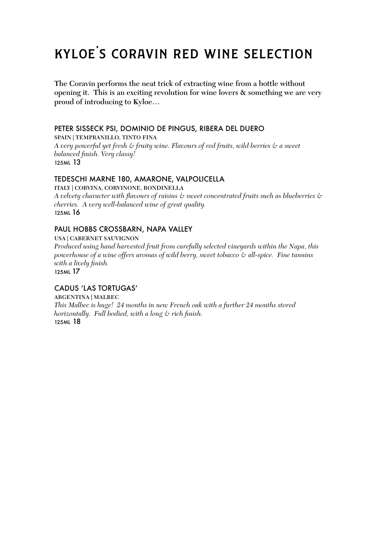# kyloe's coravin red wine selection

The Coravin performs the neat trick of extracting wine from a bottle without opening it. This is an exciting revolution for wine lovers & something we are very proud of introducing to Kyloe…

### PETER SISSECK PSI, DOMINIO DE PINGUS, RIBERA DEL DUERO

SPAIN | TEMPRANILLO, TINTO FINA

*A very powerful yet fresh & fruity wine. Flavours of red fruits, wild berries & a sweet balanced finish. Very classy!* 125ML 13

# TEDESCHI MARNE 180, AMARONE, VALPOLICELLA

ITALY | CORVINA, CORVINONE, RONDINELLA *A velvety character with flavours of raisins & sweet concentrated fruits such as blueberries & cherries. A very well-balanced wine of great quality.* 125ML 16

# PAUL HOBBS CROSSBARN, NAPA VALLEY

USA | CABERNET SAUVIGNON

*Produced using hand harvested fruit from carefully selected vineyards within the Napa, this powerhouse of a wine offers aromas of wild berry, sweet tobacco & all-spice. Fine tannins with a lively finish.*

125ML 17

# CADUS 'LAS TORTUGAS'

ARGENTINA | MALBEC *This Malbec is huge! 24 months in new French oak with a further 24 months stored horizontally. Full bodied, with a long & rich finish.* 125ML 18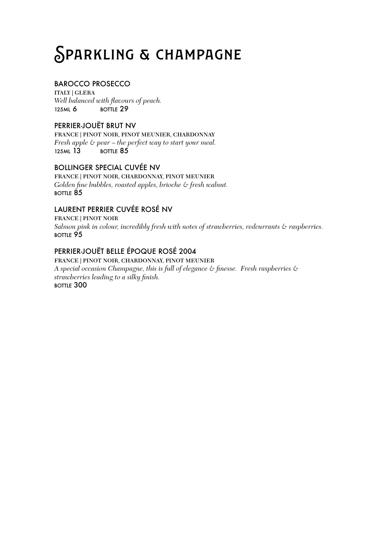# Sparkling & champagne

# BAROCCO PROSECCO

ITALY | GLERA *Well balanced with flavours of peach.* 125ML 6 BOTTLE 29

# PERRIER-JOUËT BRUT NV

FRANCE | PINOT NOIR, PINOT MEUNIER, CHARDONNAY *Fresh apple & pear – the perfect way to start your meal.* 125ML 13 BOTTLE 85

# BOLLINGER SPECIAL CUVÉE NV

FRANCE | PINOT NOIR, CHARDONNAY, PINOT MEUNIER *Golden fine bubbles, roasted apples, brioche & fresh walnut.* BOTTLE 85

# LAURENT PERRIER CUVÉE ROSÉ NV

FRANCE | PINOT NOIR *Salmon pink in colour, incredibly fresh with notes of strawberries, redcurrants & raspberries.* BOTTLE 95

# PERRIER-JOUËT BELLE ÉPOQUE ROSÉ 2004

FRANCE | PINOT NOIR, CHARDONNAY, PINOT MEUNIER *A special occasion Champagne, this is full of elegance & finesse. Fresh raspberries & strawberries leading to a silky finish.* BOTTLE 300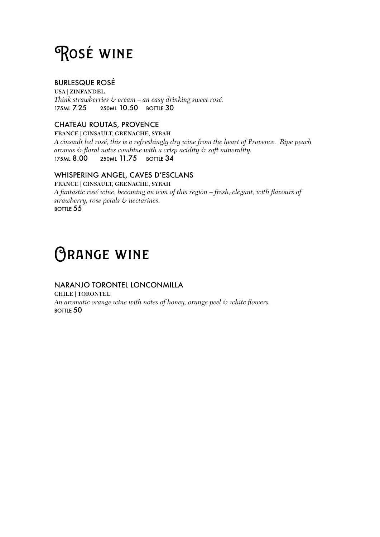# Rosé wine

# BURLESQUE ROSÉ

USA | ZINFANDEL *Think strawberries & cream – an easy drinking sweet rosé.* 175ML 7.25 250ML 10.50 BOTTLE 30

# CHATEAU ROUTAS, PROVENCE

FRANCE | CINSAULT, GRENACHE, SYRAH *A cinsault led rosé, this is a refreshingly dry wine from the heart of Provence. Ripe peach aromas & floral notes combine with a crisp acidity & soft minerality.* 250ML  $11.75$  BOTTLE  $34$ 

# WHISPERING ANGEL, CAVES D'ESCLANS

FRANCE | CINSAULT, GRENACHE, SYRAH *A fantastic rosé wine, becoming an icon of this region – fresh, elegant, with flavours of strawberry, rose petals & nectarines.* BOTTLE 55

# **ORANGE WINE**

# NARANJO TORONTEL LONCONMILLA

CHILE | TORONTEL *An aromatic orange wine with notes of honey, orange peel & white flowers.* BOTTLE 50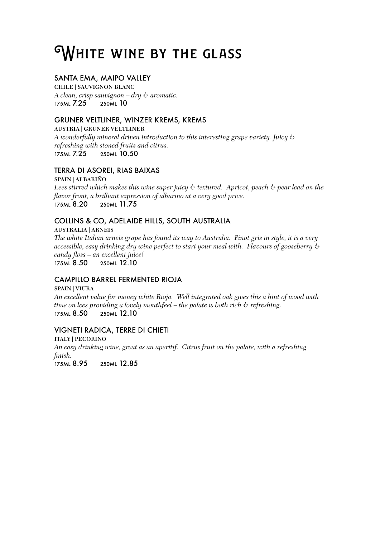# WHITE WINE BY THE GLASS

# SANTA EMA, MAIPO VALLEY

CHILE | SAUVIGNON BLANC *A clean, crisp sauvignon – dry & aromatic.* 175ML 7.25 250ML 10

# GRUNER VELTLINER, WINZER KREMS, KREMS

AUSTRIA | GRUNER VELTLINER *A wonderfully mineral driven introduction to this interesting grape variety. Juicy & refreshing with stoned fruits and citrus.* 175ML 7.25 250ML 10.50

# TERRA DI ASOREI, RIAS BAIXAS

SPAIN | ALBARIÑO *Lees stirred which makes this wine super juicy & textured. Apricot, peach & pear lead on the flavor front, a brilliant expression of albarino at a very good price.* 175ML 8.20 250ML 11.75

# COLLINS & CO, ADELAIDE HILLS, SOUTH AUSTRALIA

AUSTRALIA | ARNEIS *The white Italian arneis grape has found its way to Australia. Pinot gris in style, it is a very accessible, easy drinking dry wine perfect to start your meal with. Flavours of gooseberry & candy floss – an excellent juice!* 175ML 8.50 250ML 12.10

# CAMPILLO BARREL FERMENTED RIOJA

SPAIN | VIURA *An excellent value for money white Rioja. Well integrated oak gives this a hint of wood with time on lees providing a lovely mouthfeel – the palate is both rich & refreshing.* 175ML 8.50 250ML 12.10

# VIGNETI RADICA, TERRE DI CHIETI

ITALY | PECORINO *An easy drinking wine, great as an aperitif. Citrus fruit on the palate, with a refreshing finish.*

175ML 8.95 250ML 12.85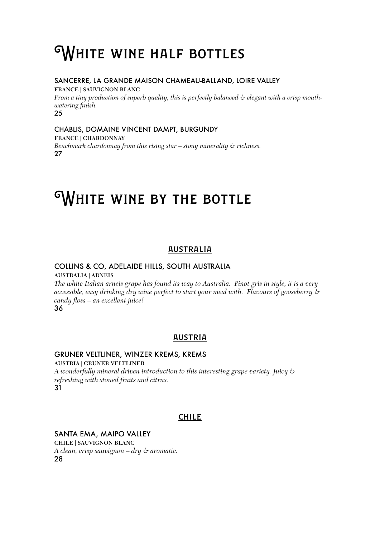# **WHITE WINE HALF BOTTLES**

### SANCERRE, LA GRANDE MAISON CHAMEAU-BALLAND, LOIRE VALLEY

FRANCE | SAUVIGNON BLANC *From a tiny production of superb quality, this is perfectly balanced & elegant with a crisp mouthwatering finish.* 25

#### CHABLIS, DOMAINE VINCENT DAMPT, BURGUNDY FRANCE | CHARDONNAY

*Benchmark chardonnay from this rising star – stony minerality & richness.* 27

# WHITE WINE BY THE BOTTLE

# australia

# COLLINS & CO, ADELAIDE HILLS, SOUTH AUSTRALIA AUSTRALIA | ARNEIS

*The white Italian arneis grape has found its way to Australia. Pinot gris in style, it is a very accessible, easy drinking dry wine perfect to start your meal with. Flavours of gooseberry & candy floss – an excellent juice!*

# 36

# **AUSTRIA**

# GRUNER VELTLINER, WINZER KREMS, KREMS

AUSTRIA | GRUNER VELTLINER *A wonderfully mineral driven introduction to this interesting grape variety. Juicy & refreshing with stoned fruits and citrus.* 31

# **CHILE**

# SANTA EMA, MAIPO VALLEY

CHILE | SAUVIGNON BLANC *A clean, crisp sauvignon – dry & aromatic.* 28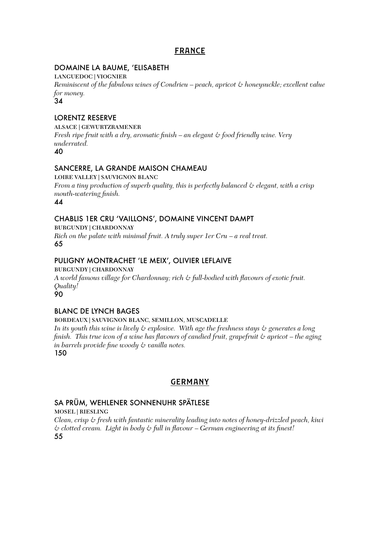# france

# DOMAINE LA BAUME, 'ELISABETH

LANGUEDOC | VIOGNIER

*Reminiscent of the fabulous wines of Condrieu – peach, apricot & honeysuckle; excellent value for money.*

34

# LORENTZ RESERVE

ALSACE | GEWURTZRAMENER *Fresh ripe fruit with a dry, aromatic finish – an elegant & food friendly wine. Very underrated.*  $40$ 

# SANCERRE, LA GRANDE MAISON CHAMEAU

LOIRE VALLEY | SAUVIGNON BLANC *From a tiny production of superb quality, this is perfectly balanced & elegant, with a crisp mouth-watering finish.*

44

# CHABLIS 1ER CRU 'VAILLONS', DOMAINE VINCENT DAMPT

BURGUNDY | CHARDONNAY

*Rich on the palate with minimal fruit. A truly super 1er Cru – a real treat.* 65

# PULIGNY MONTRACHET 'LE MEIX', OLIVIER LEFLAIVE

### BURGUNDY | CHARDONNAY

*A world famous village for Chardonnay; rich & full-bodied with flavours of exotic fruit. Quality!*

90

# BLANC DE LYNCH BAGES

### BORDEAUX | SAUVIGNON BLANC, SEMILLON, MUSCADELLE

*In its youth this wine is lively & explosive. With age the freshness stays & generates a long finish. This true icon of a wine has flavours of candied fruit, grapefruit & apricot – the aging in barrels provide fine woody & vanilla notes.*

150

# **GERMANY**

# SA PRÜM, WEHLENER SONNENUHR SPÄTLESE

MOSEL | RIESLING

*Clean, crisp & fresh with fantastic minerality leading into notes of honey-drizzled peach, kiwi & clotted cream. Light in body & full in flavour – German engineering at its finest!* 55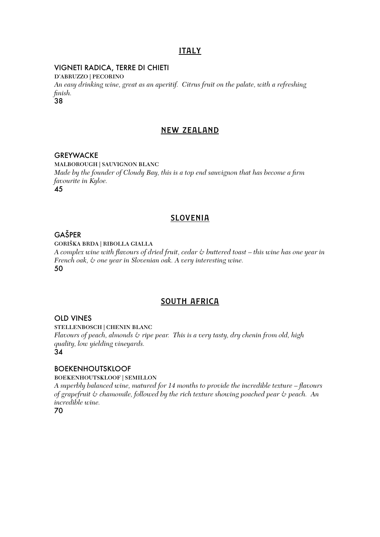# **ITALY**

#### VIGNETI RADICA, TERRE DI CHIETI

D'ABRUZZO | PECORINO *An easy drinking wine, great as an aperitif. Citrus fruit on the palate, with a refreshing finish.* 38

#### new zealand

#### **GREYWACKE**

MALBOROUGH | SAUVIGNON BLANC *Made by the founder of Cloudy Bay, this is a top end sauvignon that has become a firm favourite in Kyloe.* 45

#### **SLOVENIA**

# GAŠPER

GORIŠKA BRDA | RIBOLLA GIALLA

*A complex wine with flavours of dried fruit, cedar & buttered toast – this wine has one year in French oak, & one year in Slovenian oak. A very interesting wine.* 50

#### south africa

#### OLD VINES

STELLENBOSCH | CHENIN BLANC *Flavours of peach, almonds & ripe pear. This is a very tasty, dry chenin from old, high quality, low yielding vineyards.* 34

### BOEKENHOUTSKLOOF

BOEKENHOUTSKLOOF | SEMILLON

*A superbly balanced wine, matured for 14 months to provide the incredible texture – flavours of grapefruit & chamomile, followed by the rich texture showing poached pear & peach. An incredible wine.*

70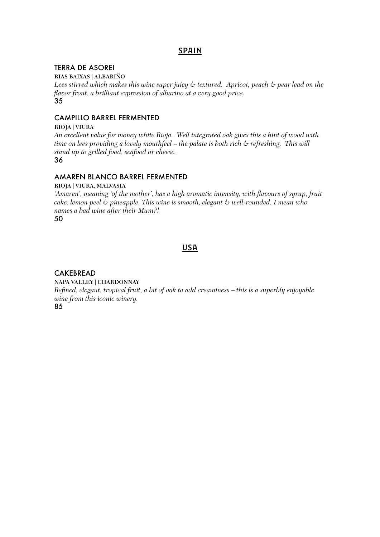# **SPAIN**

### TERRA DE ASOREI

RIAS BAIXAS | ALBARIÑO

*Lees stirred which makes this wine super juicy & textured. Apricot, peach & pear lead on the flavor front, a brilliant expression of albarino at a very good price.* 35

# CAMPILLO BARREL FERMENTED

#### RIOJA | VIURA

*An excellent value for money white Rioja. Well integrated oak gives this a hint of wood with time on lees providing a lovely mouthfeel – the palate is both rich & refreshing. This will stand up to grilled food, seafood or cheese.* 36

# AMAREN BLANCO BARREL FERMENTED

#### RIOJA | VIURA, MALVASIA

*'Amaren', meaning 'of the mother', has a high aromatic intensity, with flavours of syrup, fruit cake, lemon peel & pineapple. This wine is smooth, elegant & well-rounded. I mean who names a bad wine after their Mum?!*

50

# **USA**

# CAKEBREAD

NAPA VALLEY | CHARDONNAY *Refined, elegant, tropical fruit, a bit of oak to add creaminess – this is a superbly enjoyable wine from this iconic winery.* 85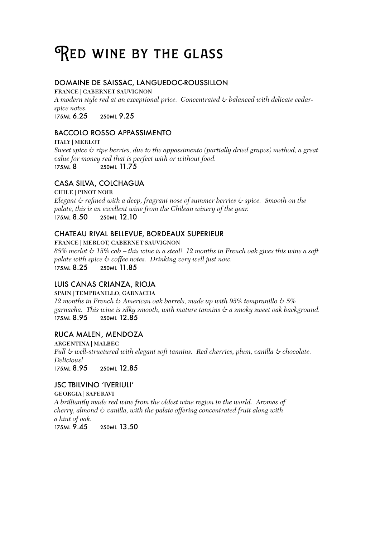# RED WINE BY THE GLASS

# DOMAINE DE SAISSAC, LANGUEDOC-ROUSSILLON

FRANCE | CABERNET SAUVIGNON *A modern style red at an exceptional price. Concentrated & balanced with delicate cedarspice notes.* 175ML 6.25 250ML 9.25

# BACCOLO ROSSO APPASSIMENTO

ITALY | MERLOT *Sweet spice & ripe berries, due to the appassimento (partially dried grapes) method; a great value for money red that is perfect with or without food.* 175ML 8 250ML 11.75

# CASA SILVA, COLCHAGUA

CHILE | PINOT NOIR *Elegant & refined with a deep, fragrant nose of summer berries & spice. Smooth on the palate, this is an excellent wine from the Chilean winery of the year.* 175ML 8.50 250ML 12.10

# CHATEAU RIVAL BELLEVUE, BORDEAUX SUPERIEUR

FRANCE | MERLOT, CABERNET SAUVIGNON *85% merlot & 15% cab – this wine is a steal! 12 months in French oak gives this wine a soft palate with spice & coffee notes. Drinking very well just now.* 175ML 8.25 250ML 11.85

# LUIS CANAS CRIANZA, RIOJA

SPAIN | TEMPRANILLO, GARNACHA *12 months in French & American oak barrels, made up with 95% tempranillo & 5% garnacha. This wine is silky smooth, with mature tannins & a smoky sweet oak background.* 250ML 12.85

# RUCA MALEN, MENDOZA

ARGENTINA | MALBEC *Full & well-structured with elegant soft tannins. Red cherries, plum, vanilla & chocolate. Delicious!* 250ML 12.85

# JSC TBILVINO 'IVERIULI'

GEORGIA | SAPERAVI *A brilliantly made red wine from the oldest wine region in the world. Aromas of cherry, almond & vanilla, with the palate offering concentrated fruit along with a hint of oak.* 175ML 9.45 250ML 13.50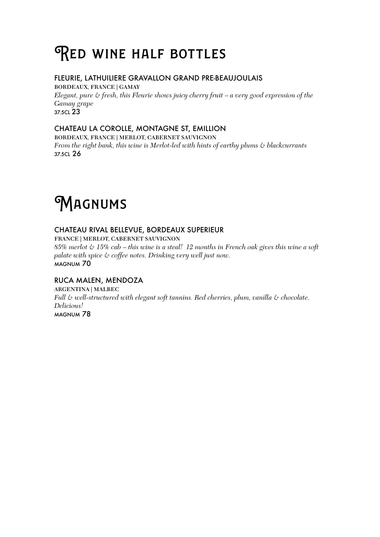# RED WINE HALF BOTTLES

# FLEURIE, LATHUILIERE GRAVALLON GRAND PRE-BEAUJOULAIS

BORDEAUX, FRANCE | GAMAY *Elegant, pure & fresh, this Fleurie shows juicy cherry fruit – a very good expression of the Gamay grape* 37.5CL 23

# CHATEAU LA COROLLE, MONTAGNE ST, EMILLION

BORDEAUX, FRANCE | MERLOT, CABERNET SAUVIGNON *From the right bank, this wine is Merlot-led with hints of earthy plums & blackcurrants* 37.5CL 26

# **MAGNUMS**

# CHATEAU RIVAL BELLEVUE, BORDEAUX SUPERIEUR

FRANCE | MERLOT, CABERNET SAUVIGNON

*85% merlot & 15% cab – this wine is a steal! 12 months in French oak gives this wine a soft palate with spice & coffee notes. Drinking very well just now.* MAGNUM 70

# RUCA MALEN, MENDOZA

ARGENTINA | MALBEC *Full & well-structured with elegant soft tannins. Red cherries, plum, vanilla & chocolate. Delicious!* MAGNUM 78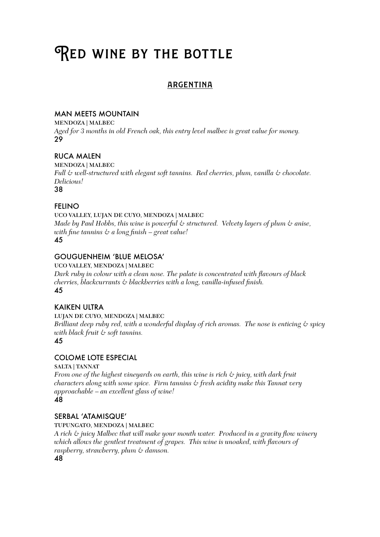# RED WINE BY THE BOTTLE

# **ARGENTINA**

# MAN MEETS MOUNTAIN

MENDOZA | MALBEC *Aged for 3 months in old French oak, this entry level malbec is great value for money.* 29

# RUCA MALEN

MENDOZA | MALBEC *Full & well-structured with elegant soft tannins. Red cherries, plum, vanilla & chocolate. Delicious!* 38

# FELINO

UCO VALLEY, LUJAN DE CUYO, MENDOZA | MALBEC *Made by Paul Hobbs, this wine is powerful & structured. Velvety layers of plum & anise, with fine tannins & a long finish – great value!* 45

# GOUGUENHEIM 'BLUE MELOSA'

UCO VALLEY, MENDOZA | MALBEC *Dark ruby in colour with a clean nose. The palate is concentrated with flavours of black cherries, blackcurrants & blackberries with a long, vanilla-infused finish.* 45

# KAIKEN ULTRA

LUJAN DE CUYO, MENDOZA | MALBEC

*Brilliant deep ruby red, with a wonderful display of rich aromas. The nose is enticing & spicy with black fruit & soft tannins.*

### 45

### COLOME LOTE ESPECIAL

SALTA | TANNAT

*From one of the highest vineyards on earth, this wine is rich & juicy, with dark fruit characters along with some spice. Firm tannins & fresh acidity make this Tannat very approachable – an excellent glass of wine!*

### 48

### SERBAL 'ATAMISQUE'

TUPUNGATO, MENDOZA | MALBEC

*A rich & juicy Malbec that will make your mouth water. Produced in a gravity flow winery which allows the gentlest treatment of grapes. This wine is unoaked, with flavours of raspberry, strawberry, plum & damson.*

48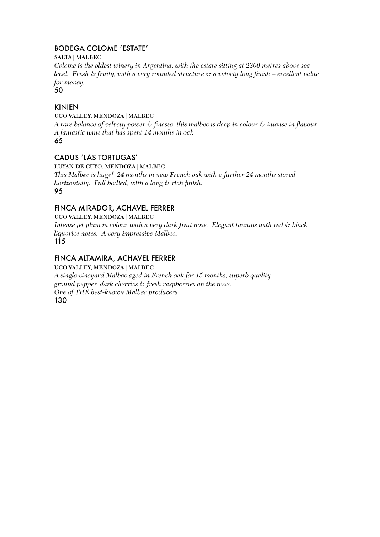# BODEGA COLOME 'ESTATE'

SALTA | MALBEC

*Colome is the oldest winery in Argentina, with the estate sitting at 2300 metres above sea level. Fresh & fruity, with a very rounded structure & a velvety long finish – excellent value for money.*

50

# KINIEN

#### UCO VALLEY, MENDOZA | MALBEC

*A rare balance of velvety power & finesse, this malbec is deep in colour & intense in flavour. A fantastic wine that has spent 14 months in oak.*

65

# CADUS 'LAS TORTUGAS'

LUYAN DE CUYO, MENDOZA | MALBEC

*This Malbec is huge! 24 months in new French oak with a further 24 months stored horizontally. Full bodied, with a long & rich finish.* 95

# FINCA MIRADOR, ACHAVEL FERRER

UCO VALLEY, MENDOZA | MALBEC *Intense jet plum in colour with a very dark fruit nose. Elegant tannins with red & black liquorice notes. A very impressive Malbec.* 115

# FINCA ALTAMIRA, ACHAVEL FERRER

UCO VALLEY, MENDOZA | MALBEC *A single vineyard Malbec aged in French oak for 15 months, superb quality – ground pepper, dark cherries & fresh raspberries on the nose. One of THE best-known Malbec producers.* 130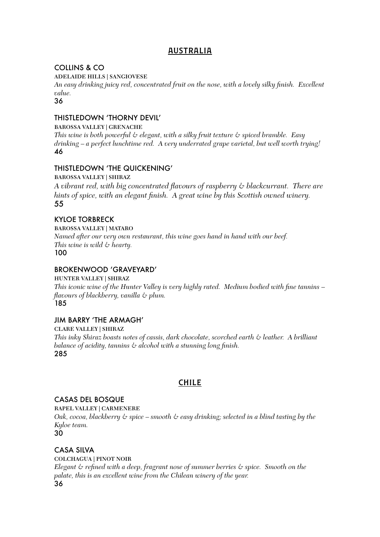# **AUSTRALIA**

# COLLINS & CO

ADELAIDE HILLS | SANGIOVESE

*An easy drinking juicy red, concentrated fruit on the nose, with a lovely silky finish. Excellent value.*

36

# THISTLEDOWN 'THORNY DEVIL'

BAROSSA VALLEY | GRENACHE *This wine is both powerful & elegant, with a silky fruit texture & spiced bramble. Easy drinking – a perfect lunchtime red. A very underrated grape varietal, but well worth trying!* 46

# THISTLEDOWN 'THE QUICKENING'

BAROSSA VALLEY | SHIRAZ *A vibrant red, with big concentrated flavours of raspberry & blackcurrant. There are hints of spice, with an elegant finish. A great wine by this Scottish owned winery.* 55

# KYLOE TORBRECK

BAROSSA VALLEY | MATARO

*Named after our very own restaurant, this wine goes hand in hand with our beef. This wine is wild & hearty.* 100

# BROKENWOOD 'GRAVEYARD'

HUNTER VALLEY | SHIRAZ *This iconic wine of the Hunter Valley is very highly rated. Medium bodied with fine tannins – flavours of blackberry, vanilla & plum.* 185

# JIM BARRY 'THE ARMAGH'

CLARE VALLEY | SHIRAZ *This inky Shiraz boasts notes of cassis, dark chocolate, scorched earth & leather. A brilliant balance of acidity, tannins & alcohol with a stunning long finish.* 285

# **CHILE**

### CASAS DEL BOSQUE

RAPEL VALLEY | CARMENERE

*Oak, cocoa, blackberry & spice – smooth & easy drinking; selected in a blind tasting by the Kyloe team.*

30

# CASA SILVA

COLCHAGUA | PINOT NOIR *Elegant & refined with a deep, fragrant nose of summer berries & spice. Smooth on the palate, this is an excellent wine from the Chilean winery of the year.* 36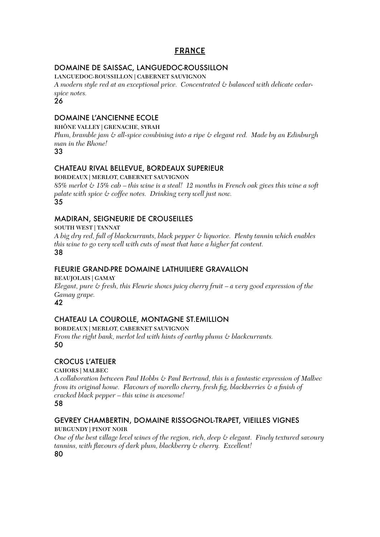# france

# DOMAINE DE SAISSAC, LANGUEDOC-ROUSSILLON

LANGUEDOC-ROUSSILLON | CABERNET SAUVIGNON

*A modern style red at an exceptional price. Concentrated & balanced with delicate cedarspice notes.*

26

# DOMAINE L'ANCIENNE ECOLE

RHÔNE VALLEY | GRENACHE, SYRAH

*Plum, bramble jam & all-spice combining into a ripe & elegant red. Made by an Edinburgh man in the Rhone!*

33

# CHATEAU RIVAL BELLEVUE, BORDEAUX SUPERIEUR

BORDEAUX | MERLOT, CABERNET SAUVIGNON

*85% merlot & 15% cab – this wine is a steal! 12 months in French oak gives this wine a soft palate with spice & coffee notes. Drinking very well just now.* 35

# MADIRAN, SEIGNEURIE DE CROUSEILLES

SOUTH WEST | TANNAT

*A big dry red, full of blackcurrants, black pepper & liquorice. Plenty tannin which enables this wine to go very well with cuts of meat that have a higher fat content.* 38

# FLEURIE GRAND-PRE DOMAINE LATHUILIERE GRAVALLON

BEAUJOLAIS | GAMAY *Elegant, pure & fresh, this Fleurie shows juicy cherry fruit – a very good expression of the Gamay grape.* 42

# CHATEAU LA COUROLLE, MONTAGNE ST.EMILLION

BORDEAUX | MERLOT, CABERNET SAUVIGNON *From the right bank, merlot led with hints of earthy plums & blackcurrants.* 50

# CROCUS L'ATELIER

CAHORS | MALBEC

*A collaboration between Paul Hobbs & Paul Bertrand, this is a fantastic expression of Malbec from its original home. Flavours of morello cherry, fresh fig, blackberries & a finish of cracked black pepper – this wine is awesome!*  58

# GEVREY CHAMBERTIN, DOMAINE RISSOGNOL-TRAPET, VIEILLES VIGNES

BURGUNDY | PINOT NOIR

*One of the best village level wines of the region, rich, deep & elegant. Finely textured savoury tannins, with flavours of dark plum, blackberry & cherry. Excellent!* 80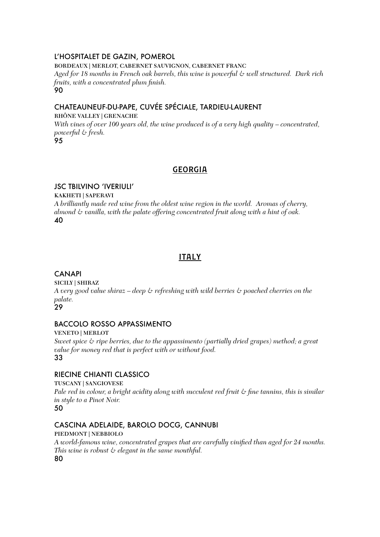# L'HOSPITALET DE GAZIN, POMEROL

BORDEAUX | MERLOT, CABERNET SAUVIGNON, CABERNET FRANC

*Aged for 18 months in French oak barrels, this wine is powerful & well structured. Dark rich fruits, with a concentrated plum finish.* 90

# CHATEAUNEUF-DU-PAPE, CUVÉE SPÉCIALE, TARDIEU-LAURENT

### RHÔNE VALLEY | GRENACHE

*With vines of over 100 years old, the wine produced is of a very high quality – concentrated, powerful & fresh.* 95

# **GEORGIA**

# JSC TBILVINO 'IVERIULI'

KAKHETI | SAPERAVI *A brilliantly made red wine from the oldest wine region in the world. Aromas of cherry, almond & vanilla, with the palate offering concentrated fruit along with a hint of oak.* 40

# **ITALY**

# **CANAPI**

SICILY | SHIRAZ *A very good value shiraz – deep & refreshing with wild berries & poached cherries on the palate.*  $29$ 

# BACCOLO ROSSO APPASSIMENTO

VENETO | MERLOT *Sweet spice & ripe berries, due to the appassimento (partially dried grapes) method; a great value for money red that is perfect with or without food.* 33

# RIECINE CHIANTI CLASSICO

TUSCANY | SANGIOVESE *Pale red in colour, a bright acidity along with succulent red fruit & fine tannins, this is similar in style to a Pinot Noir.* 50

# CASCINA ADELAIDE, BAROLO DOCG, CANNUBI

PIEDMONT | NEBBIOLO *A world-famous wine, concentrated grapes that are carefully vinified than aged for 24 months. This wine is robust & elegant in the same mouthful.* 80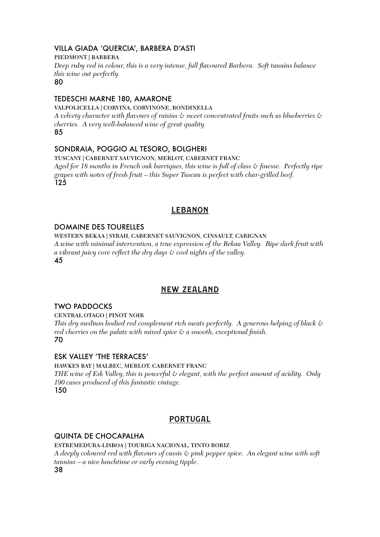# VILLA GIADA 'QUERCIA', BARBERA D'ASTI

#### PIEDMONT | BARBERA

*Deep ruby red in colour, this is a very intense, full flavoured Barbera. Soft tannins balance this wine out perfectly.*

80

### TEDESCHI MARNE 180, AMARONE

VALPOLICELLA | CORVINA, CORVINONE, RONDINELLA *A velvety character with flavours of raisins & sweet concentrated fruits such as blueberries & cherries. A very well-balanced wine of great quality.*

85

# SONDRAIA, POGGIO AL TESORO, BOLGHERI

TUSCANY | CABERNET SAUVIGNON, MERLOT, CABERNET FRANC *Aged for 18 months in French oak barriques, this wine is full of class & finesse. Perfectly ripe grapes with notes of fresh fruit – this Super Tuscan is perfect with char-grilled beef.* 125

# **LEBANON**

# DOMAINE DES TOURELLES

WESTERN BEKAA | SYRAH, CABERNET SAUVIGNON, CINSAULT, CARIGNAN *A wine with minimal intervention, a true expression of the Bekaa Valley. Ripe dark fruit with a vibrant juicy core reflect the dry days & cool nights of the valley.* 45

# new zealand

# TWO PADDOCKS

CENTRAL OTAGO | PINOT NOIR *This dry medium bodied red complement rich meats perfectly. A generous helping of black & red cherries on the palate with mixed spice & a smooth, exceptional finish.*

### 70

# ESK VALLEY 'THE TERRACES'

HAWKES BAY | MALBEC, MERLOT, CABERNET FRANC *THE wine of Esk Valley, this is powerful & elegant, with the perfect amount of acidity. Only 190 cases produced of this fantastic vintage.* 150

# portugal

# QUINTA DE CHOCAPALHA

ESTREMEDURA-LISBOA | TOURIGA NACIONAL, TINTO RORIZ *A deeply coloured red with flavours of cassis & pink pepper spice. An elegant wine with soft tannins – a nice lunchtime or early evening tipple.* 38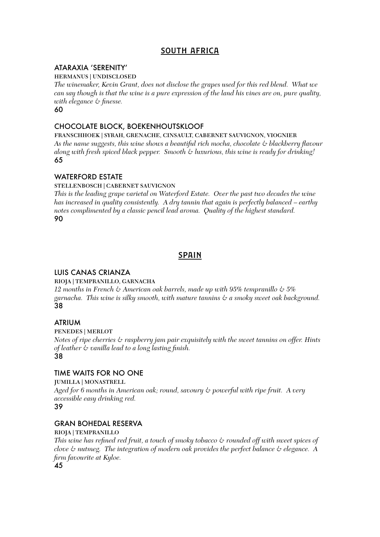# south africa

## ATARAXIA 'SERENITY'

HERMANUS | UNDISCLOSED

*The winemaker, Kevin Grant, does not disclose the grapes used for this red blend. What we can say though is that the wine is a pure expression of the land his vines are on, pure quality, with elegance & finesse.*

60

# CHOCOLATE BLOCK, BOEKENHOUTSKLOOF

FRANSCHHOEK | SYRAH, GRENACHE, CINSAULT, CABERNET SAUVIGNON, VIOGNIER *As the name suggests, this wine shows a beautiful rich mocha, chocolate & blackberry flavour along with fresh spiced black pepper. Smooth & luxurious, this wine is ready for drinking!* 65

# WATERFORD ESTATE

### STELLENBOSCH | CABERNET SAUVIGNON

*This is the leading grape varietal on Waterford Estate. Over the past two decades the wine has increased in quality consistently. A dry tannin that again is perfectly balanced – earthy notes complimented by a classic pencil lead aroma. Quality of the highest standard.* 90

# spain

# LUIS CANAS CRIANZA

### RIOJA | TEMPRANILLO, GARNACHA

*12 months in French & American oak barrels, made up with 95% tempranillo & 5% garnacha. This wine is silky smooth, with mature tannins & a smoky sweet oak background.* 38

# ATRIUM

#### PENEDES | MERLOT

*Notes of ripe cherries & raspberry jam pair exquisitely with the sweet tannins on offer. Hints of leather & vanilla lead to a long lasting finish.* 38

### TIME WAITS FOR NO ONE

JUMILLA | MONASTRELL *Aged for 6 months in American oak; round, savoury & powerful with ripe fruit. A very accessible easy drinking red.* 

#### 39

### GRAN BOHEDAL RESERVA

#### RIOJA | TEMPRANILLO

*This wine has refined red fruit, a touch of smoky tobacco & rounded off with sweet spices of clove & nutmeg. The integration of modern oak provides the perfect balance & elegance. A firm favourite at Kyloe.*

45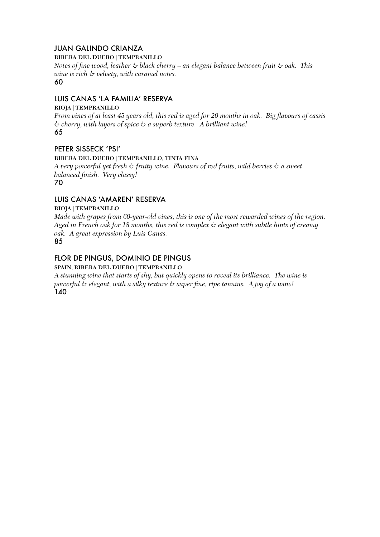# JUAN GALINDO CRIANZA

RIBERA DEL DUERO | TEMPRANILLO

*Notes of fine wood, leather & black cherry – an elegant balance between fruit & oak. This wine is rich & velvety, with caramel notes.* 60

# LUIS CANAS 'LA FAMILIA' RESERVA

#### RIOJA | TEMPRANILLO

*From vines of at least 45 years old, this red is aged for 20 months in oak. Big flavours of cassis & cherry, with layers of spice & a superb texture. A brilliant wine!* 65

# PETER SISSECK 'PSI'

#### RIBERA DEL DUERO | TEMPRANILLO, TINTA FINA

*A very powerful yet fresh & fruity wine. Flavours of red fruits, wild berries & a sweet balanced finish. Very classy!* 70

# LUIS CANAS 'AMAREN' RESERVA

RIOJA | TEMPRANILLO

*Made with grapes from 60-year-old vines, this is one of the most rewarded wines of the region. Aged in French oak for 18 months, this red is complex & elegant with subtle hints of creamy oak. A great expression by Luis Canas.*

85

# FLOR DE PINGUS, DOMINIO DE PINGUS

SPAIN, RIBERA DEL DUERO | TEMPRANILLO

*A stunning wine that starts of shy, but quickly opens to reveal its brilliance. The wine is powerful & elegant, with a silky texture & super fine, ripe tannins. A joy of a wine!* 140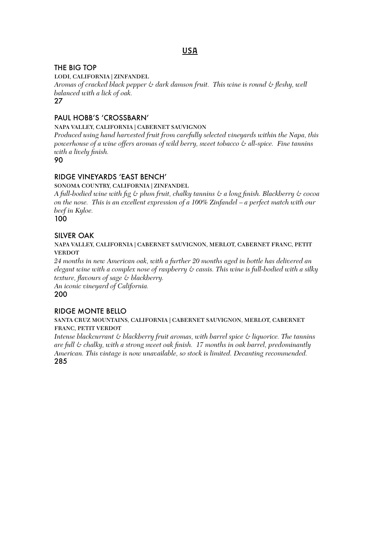# usa

# THE BIG TOP

LODI, CALIFORNIA | ZINFANDEL

*Aromas of cracked black pepper & dark damson fruit. This wine is round & fleshy, well balanced with a lick of oak.*

# 27

# PAUL HOBB'S 'CROSSBARN'

NAPA VALLEY, CALIFORNIA | CABERNET SAUVIGNON

*Produced using hand harvested fruit from carefully selected vineyards within the Napa, this powerhouse of a wine offers aromas of wild berry, sweet tobacco & all-spice. Fine tannins with a lively finish.*

90

# RIDGE VINEYARDS 'EAST BENCH'

#### SONOMA COUNTRY, CALIFORNIA | ZINFANDEL

*A full-bodied wine with fig & plum fruit, chalky tannins & a long finish. Blackberry & cocoa on the nose. This is an excellent expression of a 100% Zinfandel – a perfect match with our beef in Kyloe.*

100

# SILVER OAK

#### NAPA VALLEY, CALIFORNIA | CABERNET SAUVIGNON, MERLOT, CABERNET FRANC, PETIT **VERDOT**

*24 months in new American oak, with a further 20 months aged in bottle has delivered an elegant wine with a complex nose of raspberry & cassis. This wine is full-bodied with a silky texture, flavours of sage & blackberry. An iconic vineyard of California.*

200

# RIDGE MONTE BELLO

#### SANTA CRUZ MOUNTAINS, CALIFORNIA | CABERNET SAUVIGNON, MERLOT, CABERNET FRANC, PETIT VERDOT

*Intense blackcurrant & blackberry fruit aromas, with barrel spice & liquorice. The tannins are full & chalky, with a strong sweet oak finish. 17 months in oak barrel, predominantly American. This vintage is now unavailable, so stock is limited. Decanting recommended.* 285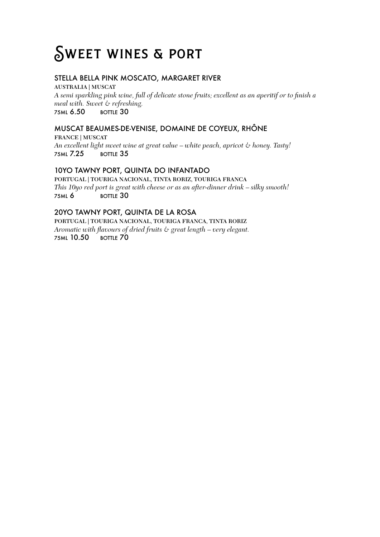# SWEET WINES & PORT

# STELLA BELLA PINK MOSCATO, MARGARET RIVER

AUSTRALIA | MUSCAT *A semi sparkling pink wine, full of delicate stone fruits; excellent as an aperitif or to finish a meal with. Sweet & refreshing.* 75ML 6.50 BOTTLE 30

# MUSCAT BEAUMES-DE-VENISE, DOMAINE DE COYEUX, RHÔNE

FRANCE | MUSCAT *An excellent light sweet wine at great value – white peach, apricot & honey. Tasty!* 75ML 7.25 BOTTLE 35

# 10YO TAWNY PORT, QUINTA DO INFANTADO

PORTUGAL | TOURIGA NACIONAL, TINTA RORIZ, TOURIGA FRANCA *This 10yo red port is great with cheese or as an after-dinner drink – silky smooth!* 75ML 6 BOTTLE 30

# 20YO TAWNY PORT, QUINTA DE LA ROSA

PORTUGAL | TOURIGA NACIONAL, TOURIGA FRANCA, TINTA RORIZ *Aromatic with flavours of dried fruits & great length – very elegant.* 75ML 10.50 BOTTLE 70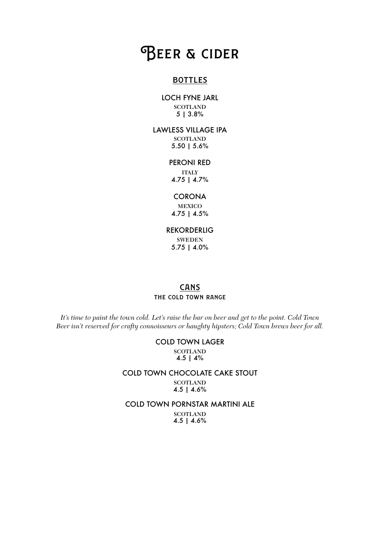# **BEER & CIDER**

# **BOTTLES**

#### LOCH FYNE JARL **SCOTLAND** 5 | 3.8%

LAWLESS VILLAGE IPA **SCOTLAND** 5.50 | 5.6%

#### PERONI RED

ITALY 4.75 | 4.7%

#### **CORONA**

MEXICO 4.75 | 4.5%

#### REKORDERLIG

SWEDEN 5.75 | 4.0%

# **CANS** the cold town range

*It's time to paint the town cold. Let's raise the bar on beer and get to the point. Cold Town Beer isn't reserved for crafty connoisseurs or haughty hipsters; Cold Town brews beer for all.*

#### COLD TOWN LAGER

**SCOTLAND** 4.5 | 4%

#### COLD TOWN CHOCOLATE CAKE STOUT **SCOTLAND** 4.5 | 4.6%

### COLD TOWN PORNSTAR MARTINI ALE

**SCOTLAND** 4.5 | 4.6%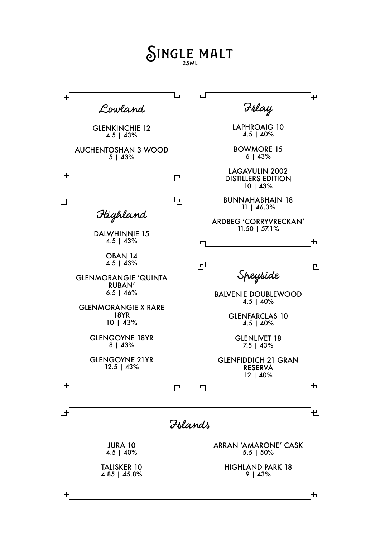# SINGLE MALT



4.5 | 40%

TALISKER 10 4.85 | 45.8%

±

ARRAN 'AMARONE' CASK 5.5 | 50%

> HIGHLAND PARK 18 9 | 43%

> > 市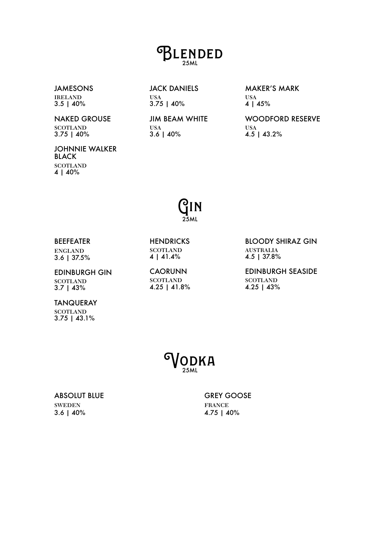# **BLENDED**

JAMESONS IRELAND 3.5 | 40%

NAKED GROUSE **SCOTLAND** 3.75 | 40%

USA 3.75 | 40%

JACK DANIELS

JIM BEAM WHITE USA 3.6 | 40%

MAKER'S MARK USA 4 | 45%

WOODFORD RESERVE USA 4.5 | 43.2%

JOHNNIE WALKER BLACK **SCOTLAND** 4 | 40%

# Gin 25ML

#### BEEFEATER

ENGLAND 3.6 | 37.5%

#### **HENDRICKS SCOTLAND** 4 | 41.4%

EDINBURGH GIN **SCOTLAND** 3.7 | 43%

CAORUNN **SCOTLAND** 4.25 | 41.8% BLOODY SHIRAZ GIN AUSTRALIA 4.5 | 37.8%

EDINBURGH SEASIDE **SCOTLAND** 4.25 | 43%

TANQUERAY **SCOTLAND**  $3.75$  | 43.1%

**DDKA** 

#### ABSOLUT BLUE SWEDEN 3.6 | 40%

GREY GOOSE FRANCE 4.75 | 40%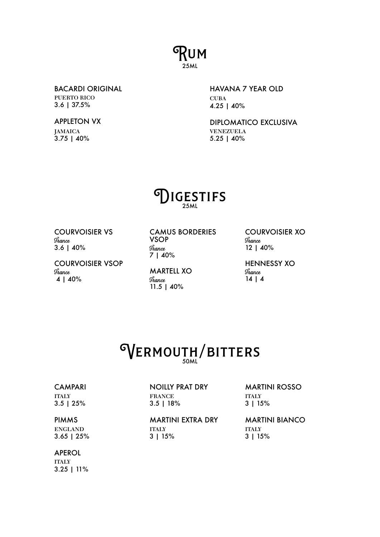# Rum 25ML

BACARDI ORIGINAL PUERTO RICO 3.6 | 37.5%

# APPLETON VX

JAMAICA 3.75 | 40%

# HAVANA 7 YEAR OLD **CUBA** 4.25 | 40%

DIPLOMATICO EXCLUSIVA VENEZUELA 5.25 | 40%

# **IGESTIFS**

COURVOISIER VS **France** 3.6 | 40%

COURVOISIER VSOP **France** 4 | 40%

CAMUS BORDERIES VSOP **France** 7 | 40%

MARTELL XO **France** 11.5 | 40%

COURVOISIER XO **France** 12 | 40%

HENNESSY XO **France** 14 | 4

# WERMOUTH/BITTERS

# **CAMPARI**

ITALY 3.5 | 25%

#### NOILLY PRAT DRY FRANCE 3.5 | 18%

MARTINI ROSSO ITALY 3 | 15%

PIMMS

ENGLAND 3.65 | 25%

# APEROL

ITALY 3.25 | 11% MARTINI EXTRA DRY **ITALY** 3 | 15%

MARTINI BIANCO **ITALY** 3 | 15%